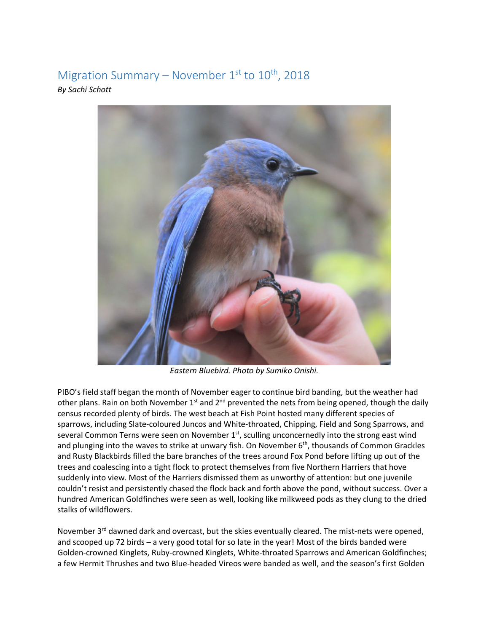## Migration Summary – November  $1<sup>st</sup>$  to  $10<sup>th</sup>$ , 2018

*By Sachi Schott*



*Eastern Bluebird. Photo by Sumiko Onishi.*

PIBO's field staff began the month of November eager to continue bird banding, but the weather had other plans. Rain on both November  $1<sup>st</sup>$  and  $2<sup>nd</sup>$  prevented the nets from being opened, though the daily census recorded plenty of birds. The west beach at Fish Point hosted many different species of sparrows, including Slate-coloured Juncos and White-throated, Chipping, Field and Song Sparrows, and several Common Terns were seen on November 1<sup>st</sup>, sculling unconcernedly into the strong east wind and plunging into the waves to strike at unwary fish. On November 6<sup>th</sup>, thousands of Common Grackles and Rusty Blackbirds filled the bare branches of the trees around Fox Pond before lifting up out of the trees and coalescing into a tight flock to protect themselves from five Northern Harriers that hove suddenly into view. Most of the Harriers dismissed them as unworthy of attention: but one juvenile couldn't resist and persistently chased the flock back and forth above the pond, without success. Over a hundred American Goldfinches were seen as well, looking like milkweed pods as they clung to the dried stalks of wildflowers.

November 3<sup>rd</sup> dawned dark and overcast, but the skies eventually cleared. The mist-nets were opened, and scooped up 72 birds – a very good total for so late in the year! Most of the birds banded were Golden-crowned Kinglets, Ruby-crowned Kinglets, White-throated Sparrows and American Goldfinches; a few Hermit Thrushes and two Blue-headed Vireos were banded as well, and the season's first Golden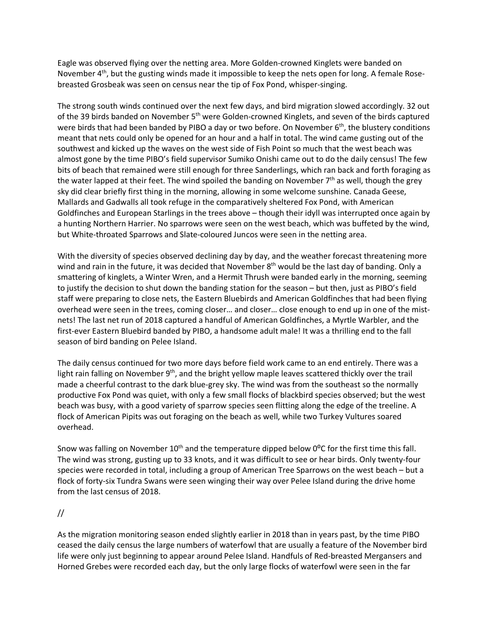Eagle was observed flying over the netting area. More Golden-crowned Kinglets were banded on November  $4<sup>th</sup>$ , but the gusting winds made it impossible to keep the nets open for long. A female Rosebreasted Grosbeak was seen on census near the tip of Fox Pond, whisper-singing.

The strong south winds continued over the next few days, and bird migration slowed accordingly. 32 out of the 39 birds banded on November 5<sup>th</sup> were Golden-crowned Kinglets, and seven of the birds captured were birds that had been banded by PIBO a day or two before. On November 6<sup>th</sup>, the blustery conditions meant that nets could only be opened for an hour and a half in total. The wind came gusting out of the southwest and kicked up the waves on the west side of Fish Point so much that the west beach was almost gone by the time PIBO's field supervisor Sumiko Onishi came out to do the daily census! The few bits of beach that remained were still enough for three Sanderlings, which ran back and forth foraging as the water lapped at their feet. The wind spoiled the banding on November  $7<sup>th</sup>$  as well, though the grey sky did clear briefly first thing in the morning, allowing in some welcome sunshine. Canada Geese, Mallards and Gadwalls all took refuge in the comparatively sheltered Fox Pond, with American Goldfinches and European Starlings in the trees above – though their idyll was interrupted once again by a hunting Northern Harrier. No sparrows were seen on the west beach, which was buffeted by the wind, but White-throated Sparrows and Slate-coloured Juncos were seen in the netting area.

With the diversity of species observed declining day by day, and the weather forecast threatening more wind and rain in the future, it was decided that November  $8<sup>th</sup>$  would be the last day of banding. Only a smattering of kinglets, a Winter Wren, and a Hermit Thrush were banded early in the morning, seeming to justify the decision to shut down the banding station for the season – but then, just as PIBO's field staff were preparing to close nets, the Eastern Bluebirds and American Goldfinches that had been flying overhead were seen in the trees, coming closer… and closer… close enough to end up in one of the mistnets! The last net run of 2018 captured a handful of American Goldfinches, a Myrtle Warbler, and the first-ever Eastern Bluebird banded by PIBO, a handsome adult male! It was a thrilling end to the fall season of bird banding on Pelee Island.

The daily census continued for two more days before field work came to an end entirely. There was a light rain falling on November 9<sup>th</sup>, and the bright yellow maple leaves scattered thickly over the trail made a cheerful contrast to the dark blue-grey sky. The wind was from the southeast so the normally productive Fox Pond was quiet, with only a few small flocks of blackbird species observed; but the west beach was busy, with a good variety of sparrow species seen flitting along the edge of the treeline. A flock of American Pipits was out foraging on the beach as well, while two Turkey Vultures soared overhead.

Snow was falling on November  $10^{th}$  and the temperature dipped below  $0^{\circ}$ C for the first time this fall. The wind was strong, gusting up to 33 knots, and it was difficult to see or hear birds. Only twenty-four species were recorded in total, including a group of American Tree Sparrows on the west beach – but a flock of forty-six Tundra Swans were seen winging their way over Pelee Island during the drive home from the last census of 2018.

## //

As the migration monitoring season ended slightly earlier in 2018 than in years past, by the time PIBO ceased the daily census the large numbers of waterfowl that are usually a feature of the November bird life were only just beginning to appear around Pelee Island. Handfuls of Red-breasted Mergansers and Horned Grebes were recorded each day, but the only large flocks of waterfowl were seen in the far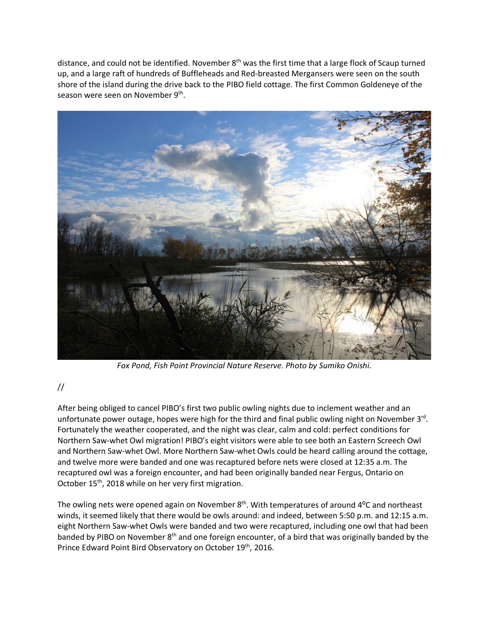distance, and could not be identified. November  $8<sup>th</sup>$  was the first time that a large flock of Scaup turned up, and a large raft of hundreds of Buffleheads and Red-breasted Mergansers were seen on the south shore of the island during the drive back to the PIBO field cottage. The first Common Goldeneye of the season were seen on November 9<sup>th</sup>.



*Fox Pond, Fish Point Provincial Nature Reserve. Photo by Sumiko Onishi.*

## //

After being obliged to cancel PIBO's first two public owling nights due to inclement weather and an unfortunate power outage, hopes were high for the third and final public owling night on November  $3<sup>rd</sup>$ . Fortunately the weather cooperated, and the night was clear, calm and cold: perfect conditions for Northern Saw-whet Owl migration! PIBO's eight visitors were able to see both an Eastern Screech Owl and Northern Saw-whet Owl. More Northern Saw-whet Owls could be heard calling around the cottage, and twelve more were banded and one was recaptured before nets were closed at 12:35 a.m. The recaptured owl was a foreign encounter, and had been originally banded near Fergus, Ontario on October 15<sup>th</sup>, 2018 while on her very first migration.

The owling nets were opened again on November  $8<sup>th</sup>$ . With temperatures of around  $4<sup>o</sup>C$  and northeast winds, it seemed likely that there would be owls around: and indeed, between 5:50 p.m. and 12:15 a.m. eight Northern Saw-whet Owls were banded and two were recaptured, including one owl that had been banded by PIBO on November 8<sup>th</sup> and one foreign encounter, of a bird that was originally banded by the Prince Edward Point Bird Observatory on October 19th, 2016.